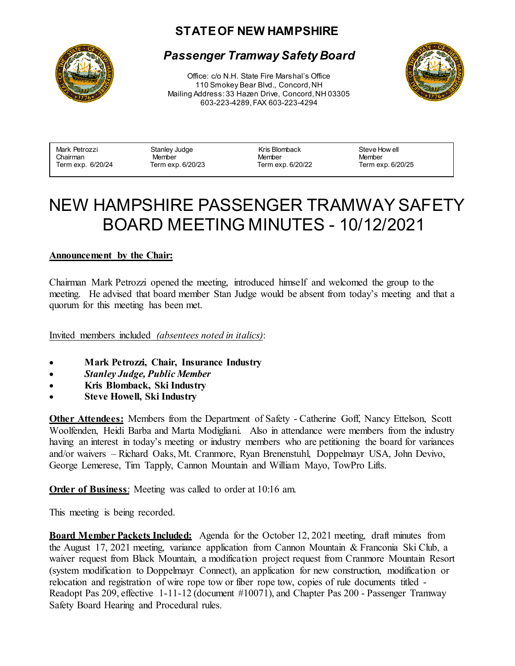## **STATE OF NEW HAMPSHIRE**



### *Passenger Tramway Safety Board*

Office: c/o N.H. State Fire Marshal's Office 110 Smokey Bear Blvd., Concord, NH Mailing Address: 33 Hazen Drive, Concord, NH 03305 603-223-4289, FAX 603-223-4294



| Mark Petrozzi     | Stanley Judge     | Kris Blomback     | Steve How ell     |
|-------------------|-------------------|-------------------|-------------------|
| Chairman          | Member            | Member            | Member            |
| Term exp. 6/20/24 | Term exp. 6/20/23 | Term exp. 6/20/22 | Term exp. 6/20/25 |

# NEW HAMPSHIRE PASSENGER TRAMWAY SAFETY BOARD MEETING MINUTES - 10/12/2021

#### **Announcement by the Chair:**

Chairman Mark Petrozzi opened the meeting, introduced himself and welcomed the group to the meeting. He advised that board member Stan Judge would be absent from today's meeting and that a quorum for this meeting has been met.

Invited members included *(absentees noted in italics)*:

- **Mark Petrozzi, Chair, Insurance Industry**
- *Stanley Judge, Public Member*
- **Kris Blomback, Ski Industry**
- **Steve Howell, Ski Industry**

**Other Attendees:** Members from the Department of Safety - Catherine Goff, Nancy Ettelson, Scott Woolfenden, Heidi Barba and Marta Modigliani. Also in attendance were members from the industry having an interest in today's meeting or industry members who are petitioning the board for variances and/or waivers – Richard Oaks, Mt. Cranmore, Ryan Brenenstuhl, Doppelmayr USA, John Devivo, George Lemerese, Tim Tapply, Cannon Mountain and William Mayo, TowPro Lifts.

**Order of Business**: Meeting was called to order at 10:16 am.

This meeting is being recorded.

**Board Member Packets Included:** Agenda for the October 12, 2021 meeting, draft minutes from the August 17, 2021 meeting, variance application from Cannon Mountain & Franconia Ski Club, a waiver request from Black Mountain, a modification project request from Cranmore Mountain Resort (system modification to Doppelmayr Connect), an application for new construction, modification or relocation and registration of wire rope tow or fiber rope tow, copies of rule documents titled - Readopt Pas 209, effective 1-11-12 (document #10071), and Chapter Pas 200 - Passenger Tramway Safety Board Hearing and Procedural rules.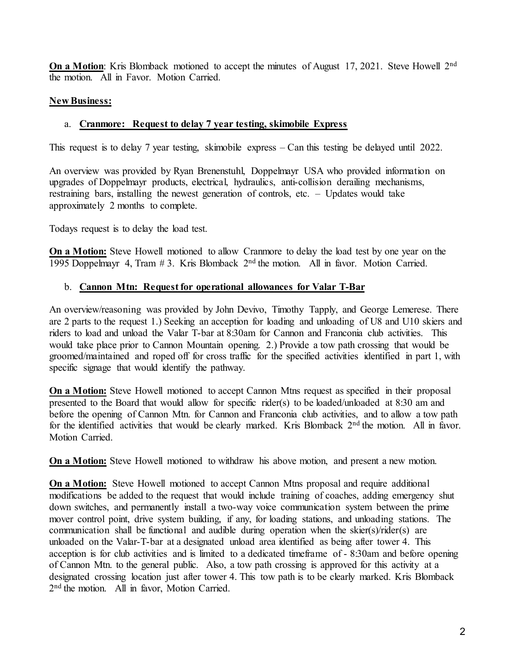**On a Motion**: Kris Blomback motioned to accept the minutes of August 17, 2021. Steve Howell 2<sup>nd</sup> the motion. All in Favor. Motion Carried.

#### **New Business:**

#### a. **Cranmore: Request to delay 7 year testing, skimobile Express**

This request is to delay 7 year testing, skimobile express – Can this testing be delayed until 2022.

An overview was provided by Ryan Brenenstuhl, Doppelmayr USA who provided information on upgrades of Doppelmayr products, electrical, hydraulics, anti-collision derailing mechanisms, restraining bars, installing the newest generation of controls, etc. – Updates would take approximately 2 months to complete.

Todays request is to delay the load test.

**On a Motion:** Steve Howell motioned to allow Cranmore to delay the load test by one year on the 1995 Doppelmayr 4, Tram  $# 3$ . Kris Blomback  $2<sup>nd</sup>$  the motion. All in favor. Motion Carried.

#### b. **Cannon Mtn: Request for operational allowances for Valar T-Bar**

An overview/reasoning was provided by John Devivo, Timothy Tapply, and George Lemerese. There are 2 parts to the request 1.) Seeking an acception for loading and unloading of U8 and U10 skiers and riders to load and unload the Valar T-bar at 8:30am for Cannon and Franconia club activities. This would take place prior to Cannon Mountain opening. 2.) Provide a tow path crossing that would be groomed/maintained and roped off for cross traffic for the specified activities identified in part 1, with specific signage that would identify the pathway.

**On a Motion:** Steve Howell motioned to accept Cannon Mtns request as specified in their proposal presented to the Board that would allow for specific rider(s) to be loaded/unloaded at 8:30 am and before the opening of Cannon Mtn. for Cannon and Franconia club activities, and to allow a tow path for the identified activities that would be clearly marked. Kris Blomback 2<sup>nd</sup> the motion. All in favor. Motion Carried.

**On a Motion:** Steve Howell motioned to withdraw his above motion, and present a new motion.

**On a Motion:** Steve Howell motioned to accept Cannon Mtns proposal and require additional modifications be added to the request that would include training of coaches, adding emergency shut down switches, and permanently install a two-way voice communication system between the prime mover control point, drive system building, if any, for loading stations, and unloading stations. The communication shall be functional and audible during operation when the skier(s)/rider(s) are unloaded on the Valar-T-bar at a designated unload area identified as being after tower 4. This acception is for club activities and is limited to a dedicated timeframe of - 8:30am and before opening of Cannon Mtn. to the general public. Also, a tow path crossing is approved for this activity at a designated crossing location just after tower 4. This tow path is to be clearly marked. Kris Blomback 2<sup>nd</sup> the motion. All in favor, Motion Carried.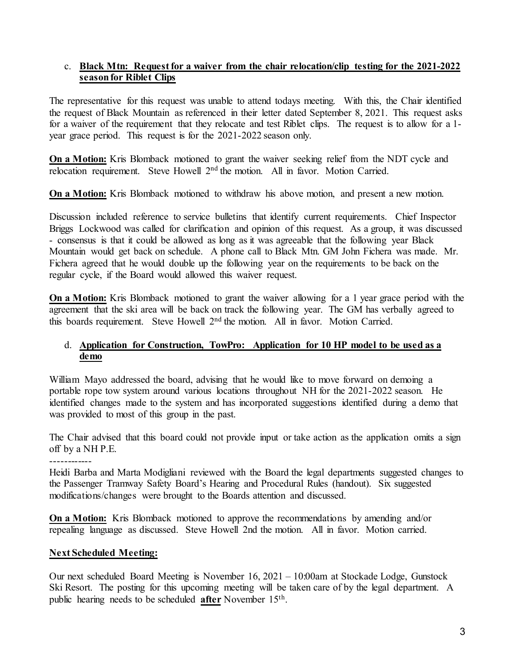#### c. **Black Mtn: Request for a waiver from the chair relocation/clip testing for the 2021-2022 season for Riblet Clips**

The representative for this request was unable to attend todays meeting. With this, the Chair identified the request of Black Mountain as referenced in their letter dated September 8, 2021. This request asks for a waiver of the requirement that they relocate and test Riblet clips. The request is to allow for a 1 year grace period. This request is for the 2021-2022 season only.

**On a Motion:** Kris Blomback motioned to grant the waiver seeking relief from the NDT cycle and relocation requirement. Steve Howell 2<sup>nd</sup> the motion. All in favor. Motion Carried.

**On a Motion:** Kris Blomback motioned to withdraw his above motion, and present a new motion.

Discussion included reference to service bulletins that identify current requirements. Chief Inspector Briggs Lockwood was called for clarification and opinion of this request. As a group, it was discussed - consensus is that it could be allowed as long as it was agreeable that the following year Black Mountain would get back on schedule. A phone call to Black Mtn. GM John Fichera was made. Mr. Fichera agreed that he would double up the following year on the requirements to be back on the regular cycle, if the Board would allowed this waiver request.

**On a Motion:** Kris Blomback motioned to grant the waiver allowing for a 1 year grace period with the agreement that the ski area will be back on track the following year. The GM has verbally agreed to this boards requirement. Steve Howell 2nd the motion. All in favor. Motion Carried.

#### d. **Application for Construction, TowPro: Application for 10 HP model to be used as a demo**

William Mayo addressed the board, advising that he would like to move forward on demoing a portable rope tow system around various locations throughout NH for the 2021-2022 season. He identified changes made to the system and has incorporated suggestions identified during a demo that was provided to most of this group in the past.

The Chair advised that this board could not provide input or take action as the application omits a sign off by a NH P.E.

------------

Heidi Barba and Marta Modigliani reviewed with the Board the legal departments suggested changes to the Passenger Tramway Safety Board's Hearing and Procedural Rules (handout). Six suggested modifications/changes were brought to the Boards attention and discussed.

**On a Motion:** Kris Blomback motioned to approve the recommendations by amending and/or repealing language as discussed. Steve Howell 2nd the motion. All in favor. Motion carried.

#### **Next Scheduled Meeting:**

Our next scheduled Board Meeting is November 16, 2021 – 10:00am at Stockade Lodge, Gunstock Ski Resort. The posting for this upcoming meeting will be taken care of by the legal department. A public hearing needs to be scheduled **after** November 15th.